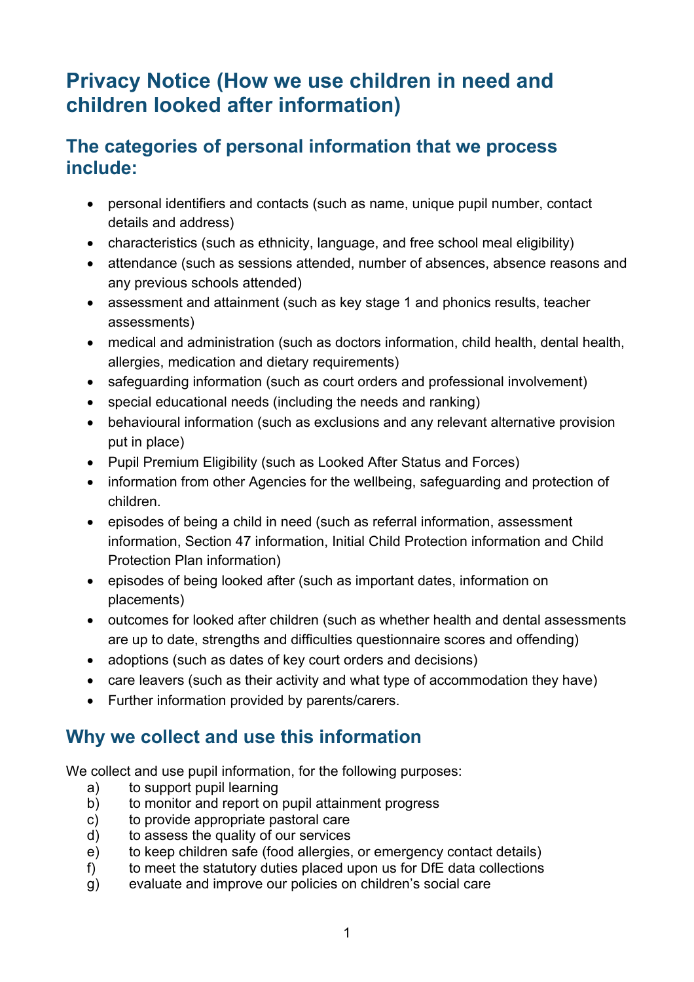# **Privacy Notice (How we use children in need and children looked after information)**

## **The categories of personal information that we process include:**

- personal identifiers and contacts (such as name, unique pupil number, contact details and address)
- characteristics (such as ethnicity, language, and free school meal eligibility)
- attendance (such as sessions attended, number of absences, absence reasons and any previous schools attended)
- assessment and attainment (such as key stage 1 and phonics results, teacher assessments)
- medical and administration (such as doctors information, child health, dental health, allergies, medication and dietary requirements)
- safeguarding information (such as court orders and professional involvement)
- special educational needs (including the needs and ranking)
- behavioural information (such as exclusions and any relevant alternative provision put in place)
- Pupil Premium Eligibility (such as Looked After Status and Forces)
- information from other Agencies for the wellbeing, safeguarding and protection of children.
- episodes of being a child in need (such as referral information, assessment information, Section 47 information, Initial Child Protection information and Child Protection Plan information)
- episodes of being looked after (such as important dates, information on placements)
- outcomes for looked after children (such as whether health and dental assessments are up to date, strengths and difficulties questionnaire scores and offending)
- adoptions (such as dates of key court orders and decisions)
- care leavers (such as their activity and what type of accommodation they have)
- Further information provided by parents/carers.

## **Why we collect and use this information**

We collect and use pupil information, for the following purposes:

- a) to support pupil learning
- b) to monitor and report on pupil attainment progress
- c) to provide appropriate pastoral care
- d) to assess the quality of our services
- e) to keep children safe (food allergies, or emergency contact details)
- f) to meet the statutory duties placed upon us for DfE data collections
- g) evaluate and improve our policies on children's social care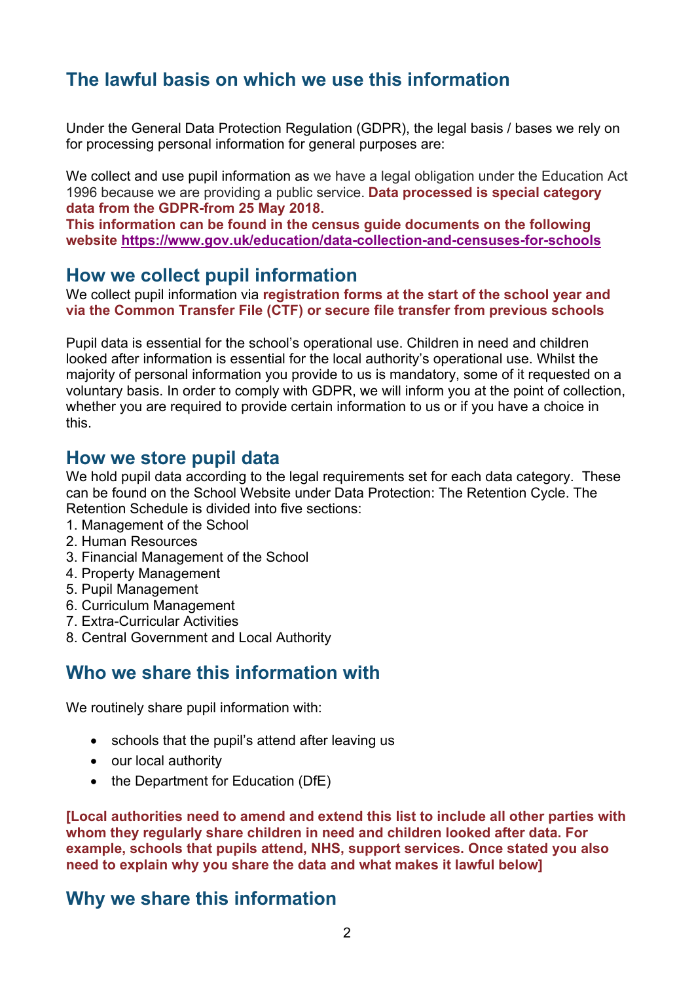## **The lawful basis on which we use this information**

Under the General Data Protection Regulation (GDPR), the legal basis / bases we rely on for processing personal information for general purposes are:

We collect and use pupil information as we have a legal obligation under the Education Act 1996 because we are providing a public service. **Data processed is special category data from the GDPR-from 25 May 2018.**

**This information can be found in the census guide documents on the following website https://www.gov.uk/education/data-collection-and-censuses-for-schools**

#### **How we collect pupil information**

We collect pupil information via **registration forms at the start of the school year and via the Common Transfer File (CTF) or secure file transfer from previous schools**

Pupil data is essential for the school's operational use. Children in need and children looked after information is essential for the local authority's operational use. Whilst the majority of personal information you provide to us is mandatory, some of it requested on a voluntary basis. In order to comply with GDPR, we will inform you at the point of collection, whether you are required to provide certain information to us or if you have a choice in this.

#### **How we store pupil data**

We hold pupil data according to the legal requirements set for each data category. These can be found on the School Website under Data Protection: The Retention Cycle. The Retention Schedule is divided into five sections:

- 1. Management of the School
- 2. Human Resources
- 3. Financial Management of the School
- 4. Property Management
- 5. Pupil Management
- 6. Curriculum Management
- 7. Extra-Curricular Activities
- 8. Central Government and Local Authority

#### **Who we share this information with**

We routinely share pupil information with:

- schools that the pupil's attend after leaving us
- our local authority
- the Department for Education (DfE)

**[Local authorities need to amend and extend this list to include all other parties with whom they regularly share children in need and children looked after data. For example, schools that pupils attend, NHS, support services. Once stated you also need to explain why you share the data and what makes it lawful below]**

## **Why we share this information**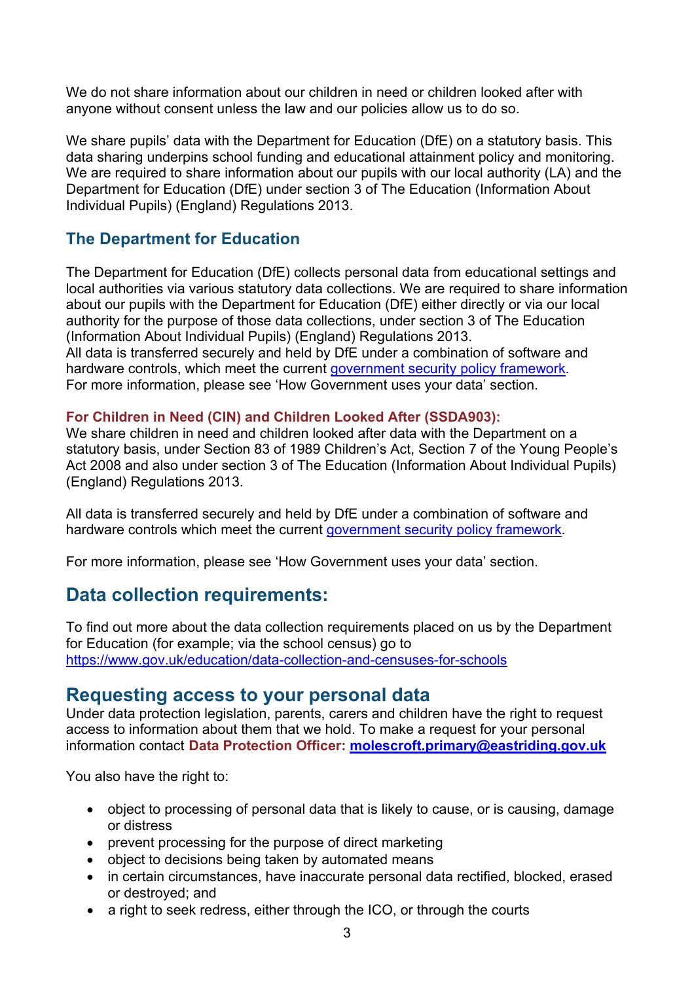We do not share information about our children in need or children looked after with anyone without consent unless the law and our policies allow us to do so.

We share pupils' data with the Department for Education (DfE) on a statutory basis. This data sharing underpins school funding and educational attainment policy and monitoring. We are required to share information about our pupils with our local authority (LA) and the Department for Education (DfE) under section 3 of The Education (Information About Individual Pupils) (England) Regulations 2013.

#### **The Department for Education**

The Department for Education (DfE) collects personal data from educational settings and local authorities via various statutory data collections. We are required to share information about our pupils with the Department for Education (DfE) either directly or via our local authority for the purpose of those data collections, under section 3 of The Education (Information About Individual Pupils) (England) Regulations 2013.

All data is transferred securely and held by DfE under a combination of software and hardware controls, which meet the current government security policy framework. For more information, please see 'How Government uses your data' section.

#### **For Children in Need (CIN) and Children Looked After (SSDA903):**

We share children in need and children looked after data with the Department on a statutory basis, under Section 83 of 1989 Children's Act, Section 7 of the Young People's Act 2008 and also under section 3 of The Education (Information About Individual Pupils) (England) Regulations 2013.

All data is transferred securely and held by DfE under a combination of software and hardware controls which meet the current government security policy framework.

For more information, please see 'How Government uses your data' section.

## **Data collection requirements:**

To find out more about the data collection requirements placed on us by the Department for Education (for example; via the school census) go to https://www.gov.uk/education/data-collection-and-censuses-for-schools

#### **Requesting access to your personal data**

Under data protection legislation, parents, carers and children have the right to request access to information about them that we hold. To make a request for your personal information contact **Data Protection Officer: molescroft.primary@eastriding.gov.uk**

You also have the right to:

- object to processing of personal data that is likely to cause, or is causing, damage or distress
- prevent processing for the purpose of direct marketing
- object to decisions being taken by automated means
- in certain circumstances, have inaccurate personal data rectified, blocked, erased or destroyed; and
- a right to seek redress, either through the ICO, or through the courts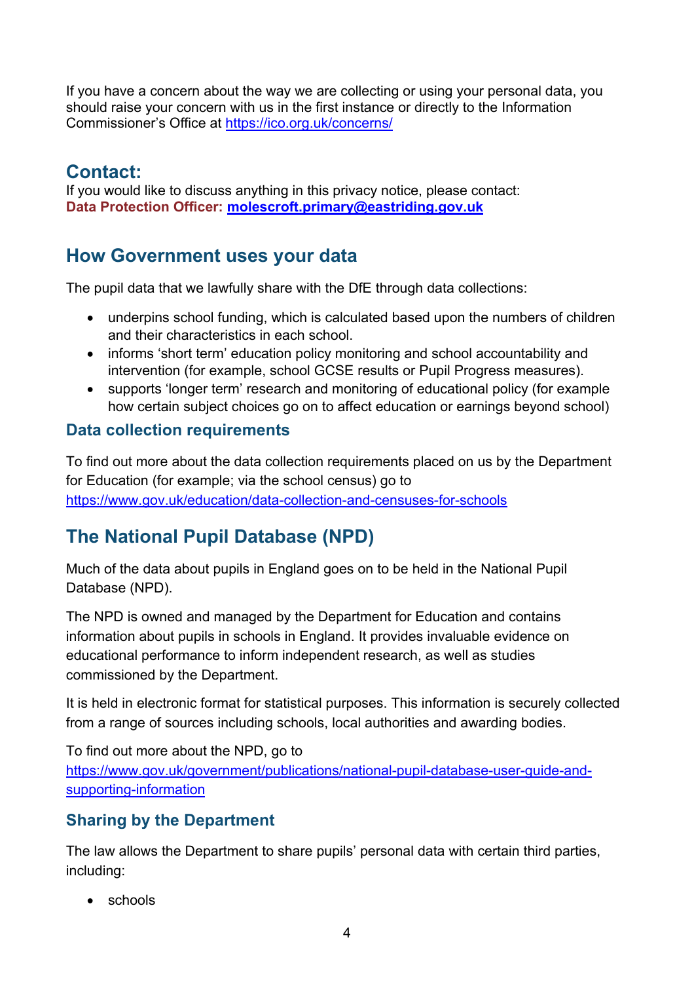If you have a concern about the way we are collecting or using your personal data, you should raise your concern with us in the first instance or directly to the Information Commissioner's Office at https://ico.org.uk/concerns/

## **Contact:**

If you would like to discuss anything in this privacy notice, please contact: **Data Protection Officer: molescroft.primary@eastriding.gov.uk**

## **How Government uses your data**

The pupil data that we lawfully share with the DfE through data collections:

- underpins school funding, which is calculated based upon the numbers of children and their characteristics in each school.
- informs 'short term' education policy monitoring and school accountability and intervention (for example, school GCSE results or Pupil Progress measures).
- supports 'longer term' research and monitoring of educational policy (for example how certain subject choices go on to affect education or earnings beyond school)

#### **Data collection requirements**

To find out more about the data collection requirements placed on us by the Department for Education (for example; via the school census) go to https://www.gov.uk/education/data-collection-and-censuses-for-schools

# **The National Pupil Database (NPD)**

Much of the data about pupils in England goes on to be held in the National Pupil Database (NPD).

The NPD is owned and managed by the Department for Education and contains information about pupils in schools in England. It provides invaluable evidence on educational performance to inform independent research, as well as studies commissioned by the Department.

It is held in electronic format for statistical purposes. This information is securely collected from a range of sources including schools, local authorities and awarding bodies.

To find out more about the NPD, go to https://www.gov.uk/government/publications/national-pupil-database-user-guide-andsupporting-information

## **Sharing by the Department**

The law allows the Department to share pupils' personal data with certain third parties, including:

• schools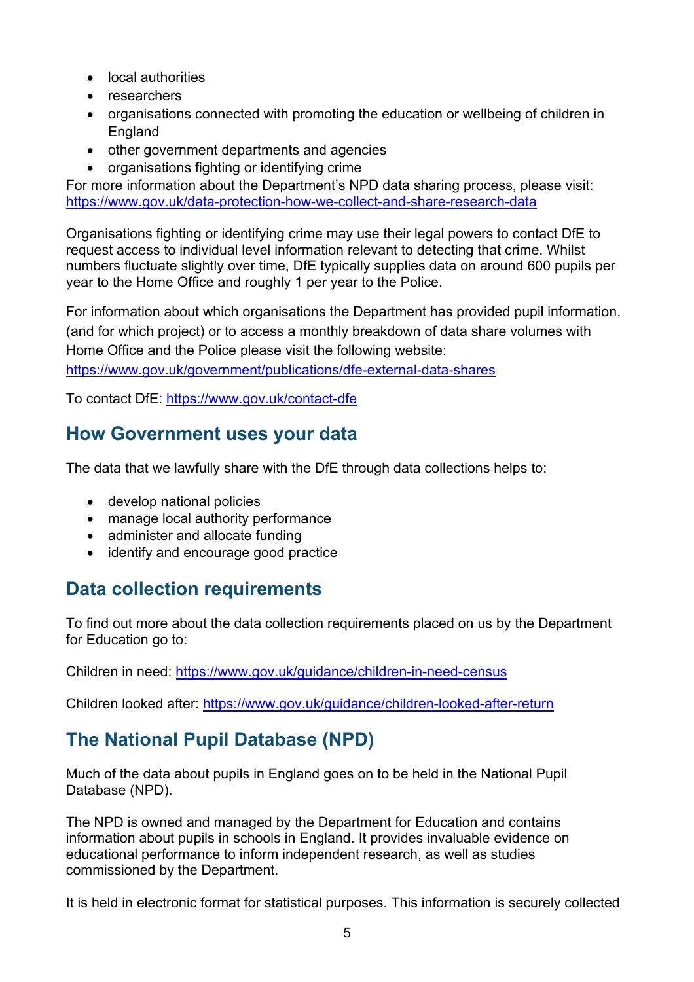- local authorities
- researchers
- organisations connected with promoting the education or wellbeing of children in England
- other government departments and agencies
- organisations fighting or identifying crime

For more information about the Department's NPD data sharing process, please visit: https://www.gov.uk/data-protection-how-we-collect-and-share-research-data

Organisations fighting or identifying crime may use their legal powers to contact DfE to request access to individual level information relevant to detecting that crime. Whilst numbers fluctuate slightly over time, DfE typically supplies data on around 600 pupils per year to the Home Office and roughly 1 per year to the Police.

For information about which organisations the Department has provided pupil information, (and for which project) or to access a monthly breakdown of data share volumes with Home Office and the Police please visit the following website: https://www.gov.uk/government/publications/dfe-external-data-shares

To contact DfE: https://www.gov.uk/contact-dfe

## **How Government uses your data**

The data that we lawfully share with the DfE through data collections helps to:

- develop national policies
- manage local authority performance
- administer and allocate funding
- identify and encourage good practice

## **Data collection requirements**

To find out more about the data collection requirements placed on us by the Department for Education go to:

Children in need: https://www.gov.uk/guidance/children-in-need-census

Children looked after: https://www.gov.uk/guidance/children-looked-after-return

# **The National Pupil Database (NPD)**

Much of the data about pupils in England goes on to be held in the National Pupil Database (NPD).

The NPD is owned and managed by the Department for Education and contains information about pupils in schools in England. It provides invaluable evidence on educational performance to inform independent research, as well as studies commissioned by the Department.

It is held in electronic format for statistical purposes. This information is securely collected